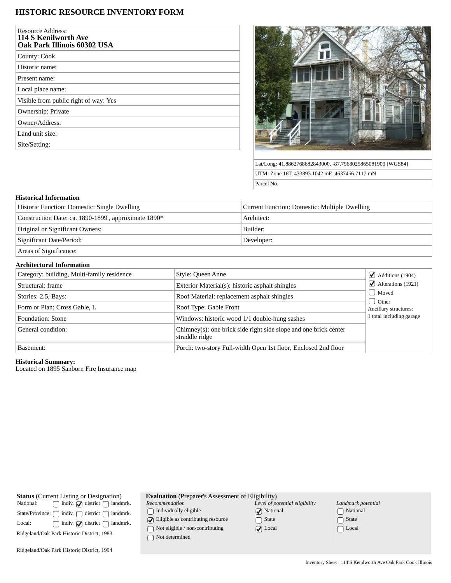# **HISTORIC RESOURCE INVENTORY FORM**

| <b>Resource Address:</b><br>114 S Kenilworth Ave<br>Oak Park Illinois 60302 USA |
|---------------------------------------------------------------------------------|
| County: Cook                                                                    |
| Historic name:                                                                  |
| Present name:                                                                   |
| Local place name:                                                               |
| Visible from public right of way: Yes                                           |
| Ownership: Private                                                              |
| Owner/Address:                                                                  |
| Land unit size:                                                                 |
| Site/Setting:                                                                   |



Lat/Long: 41.8862768682843000, -87.7968025865081900 [WGS84] UTM: Zone 16T, 433893.1042 mE, 4637456.7117 mN Parcel No.

## **Historical Information**

| Historic Function: Domestic: Single Dwelling        | Current Function: Domestic: Multiple Dwelling |  |
|-----------------------------------------------------|-----------------------------------------------|--|
| Construction Date: ca. 1890-1899, approximate 1890* | Architect:                                    |  |
| Original or Significant Owners:                     | Builder:                                      |  |
| Significant Date/Period:                            | Developer:                                    |  |
|                                                     |                                               |  |

Areas of Significance:

### **Architectural Information**

| Category: building, Multi-family residence | Style: Queen Anne                                                                  | $\triangleleft$ Additions (1904)         |
|--------------------------------------------|------------------------------------------------------------------------------------|------------------------------------------|
| Structural: frame                          | Exterior Material(s): historic asphalt shingles                                    | $\blacktriangleright$ Alterations (1921) |
| Stories: 2.5, Bays:                        | Roof Material: replacement asphalt shingles                                        | Moved                                    |
| Form or Plan: Cross Gable, L               | Roof Type: Gable Front                                                             | <b>Other</b><br>Ancillary structures:    |
| Foundation: Stone                          | Windows: historic wood 1/1 double-hung sashes                                      | 1 total including garage                 |
| General condition:                         | Chimney(s): one brick side right side slope and one brick center<br>straddle ridge |                                          |
| Basement:                                  | Porch: two-story Full-width Open 1st floor, Enclosed 2nd floor                     |                                          |

#### **Historical Summary:**

Located on 1895 Sanborn Fire Insurance map

| <b>Status</b> (Current Listing or Designation)      | <b>Evaluation</b> (Preparer's Assessment of Eligibility) |                                |                    |
|-----------------------------------------------------|----------------------------------------------------------|--------------------------------|--------------------|
| indiv. $\bigcirc$ district<br>National:<br>landmrk. | Recommendation                                           | Level of potential eligibility | Landmark potential |
| district<br>indiv.<br>landmrk.<br>State/Province: ( | Individually eligible                                    | $\sqrt{\phantom{a}}$ National  | ∩ National         |
| indiv. $\bigcirc$ district<br>landmrk.<br>Local:    | $\Box$ Eligible as contributing resource                 | State                          | □ State            |
|                                                     | Not eligible / non-contributing                          | $\sqrt{ }$ Local               | $\bigcap$ Local    |
| Ridgeland/Oak Park Historic District, 1983          | Not determined                                           |                                |                    |
| Ridgeland/Oak Park Historic District, 1994          |                                                          |                                |                    |